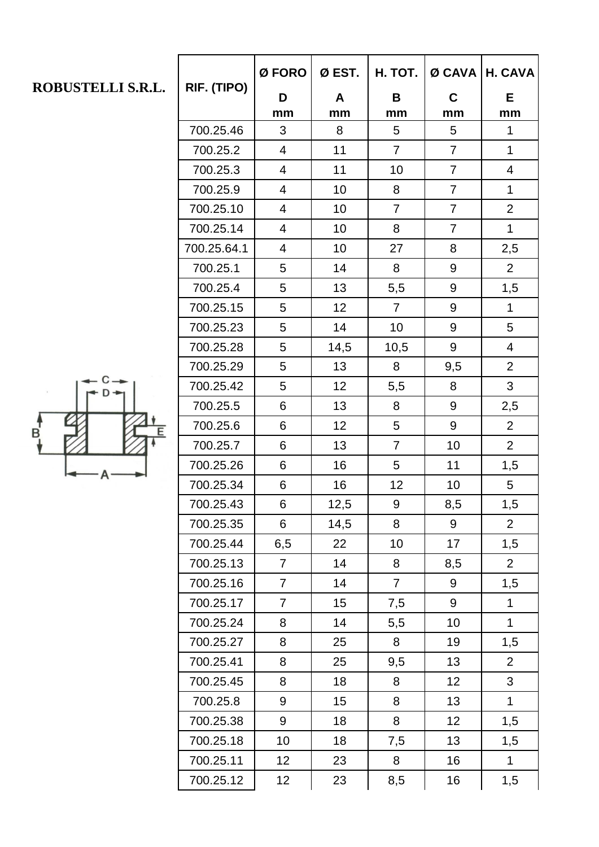| ROBUSTELLI S.R.L. | RIF. (TIPO) | Ø FORO          | Ø EST.           | H. TOT.         | $Ø$ CAVA       | H. CAVA        |
|-------------------|-------------|-----------------|------------------|-----------------|----------------|----------------|
|                   |             | D<br>mm         | A<br>mm          | B<br>mm         | C<br>mm        | E.<br>mm       |
|                   | 700.25.46   | 3               | 8                | $5\phantom{.0}$ | 5              | 1              |
|                   | 700.25.2    | $\overline{4}$  | 11               | $\overline{7}$  | $\overline{7}$ | $\mathbf 1$    |
|                   | 700.25.3    | $\overline{4}$  | 11               | 10              | $\overline{7}$ | $\overline{4}$ |
|                   | 700.25.9    | $\overline{4}$  | 10               | 8               | $\overline{7}$ | $\mathbf{1}$   |
|                   | 700.25.10   | $\overline{4}$  | 10               | $\overline{7}$  | $\overline{7}$ | 2              |
|                   | 700.25.14   | $\overline{4}$  | 10               | 8               | $\overline{7}$ | $\mathbf{1}$   |
|                   | 700.25.64.1 | $\overline{4}$  | 10               | 27              | 8              | 2,5            |
| B<br>E            | 700.25.1    | 5               | 14               | 8               | 9              | $\overline{2}$ |
|                   | 700.25.4    | 5               | 13               | 5,5             | 9              | 1,5            |
|                   | 700.25.15   | 5               | 12               | $\overline{7}$  | 9              | $\mathbf{1}$   |
|                   | 700.25.23   | 5               | 14               | 10              | 9              | 5              |
|                   | 700.25.28   | 5               | 14,5             | 10,5            | 9              | $\overline{4}$ |
|                   | 700.25.29   | 5               | 13               | 8               | 9,5            | $\overline{2}$ |
|                   | 700.25.42   | 5               | 12               | 5,5             | 8              | 3              |
|                   | 700.25.5    | 6               | 13               | 8               | 9              | 2,5            |
|                   | 700.25.6    | 6               | 12               | 5               | 9              | $\overline{2}$ |
|                   | 700.25.7    | 6               | 13               | $\overline{7}$  | 10             | $\overline{2}$ |
|                   | 700.25.26   | 6               | 16               | 5               | 11             | 1,5            |
|                   | 700.25.34   | 6               | 16               | 12              | 10             | 5              |
|                   | 700.25.43   | 6               | 12,5             | 9               | 8,5            | 1,5            |
|                   | 700.25.35   | 6               | 14,5             | 8               | 9              | $\overline{2}$ |
|                   | 700.25.44   | 6,5             | 22               | 10              | 17             | 1,5            |
|                   | 700.25.13   | $\overline{7}$  | 14               | 8               | 8,5            | $\overline{2}$ |
|                   | 700.25.16   | $\overline{7}$  | 14               | $\overline{7}$  | 9              | 1,5            |
|                   | 700.25.17   | $\overline{7}$  | 15               | 7,5             | 9              | $\mathbf{1}$   |
|                   | 700.25.24   | 8               | 14               | 5,5             | 10             | $\mathbf{1}$   |
|                   | 700.25.27   | 8               | 25               | 8               | 19             | 1,5            |
|                   | 700.25.41   | 8               | 25               | 9,5             | 13             | $\overline{2}$ |
|                   | 700.25.45   | 8               | 18               | 8               | 12             | 3              |
|                   | 700.25.8    | 9               | 15 <sub>15</sub> | 8               | 13             | $\mathbf{1}$   |
|                   | 700.25.38   | 9               | 18               | 8               | 12             | 1,5            |
|                   | 700.25.18   | 10 <sup>1</sup> | 18               | 7,5             | 13             | 1,5            |
|                   | 700.25.11   | 12 <sup>°</sup> | 23               | 8               | 16             | $\mathbf 1$    |
|                   | 700.25.12   | 12 <sub>2</sub> | 23               | 8,5             | 16             | 1,5            |